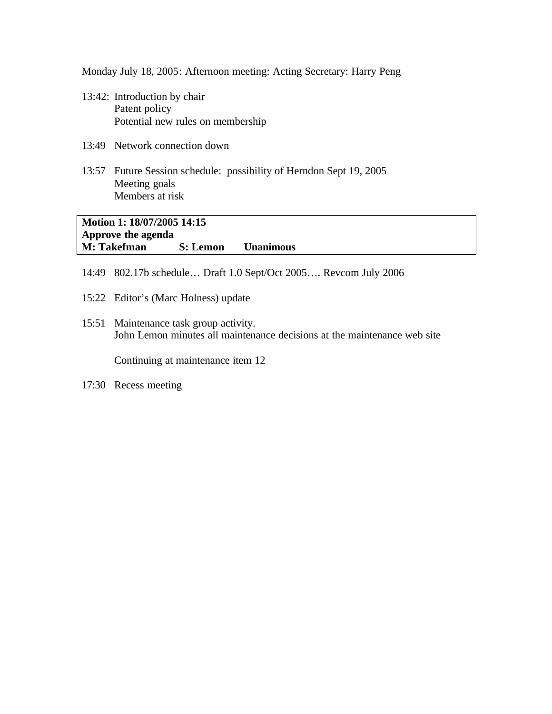Monday July 18, 2005: Afternoon meeting: Acting Secretary: Harry Peng

- 13:42: Introduction by chair Patent policy Potential new rules on membership
- 13:49 Network connection down
- 13:57 Future Session schedule: possibility of Herndon Sept 19, 2005 Meeting goals Members at risk

**Motion 1: 18/07/2005 14:15 Approve the agenda M: Takefman S: Lemon Unanimous**

- 14:49 802.17b schedule… Draft 1.0 Sept/Oct 2005…. Revcom July 2006
- 15:22 Editor's (Marc Holness) update
- 15:51 Maintenance task group activity. John Lemon minutes all maintenance decisions at the maintenance web site

Continuing at maintenance item 12

17:30 Recess meeting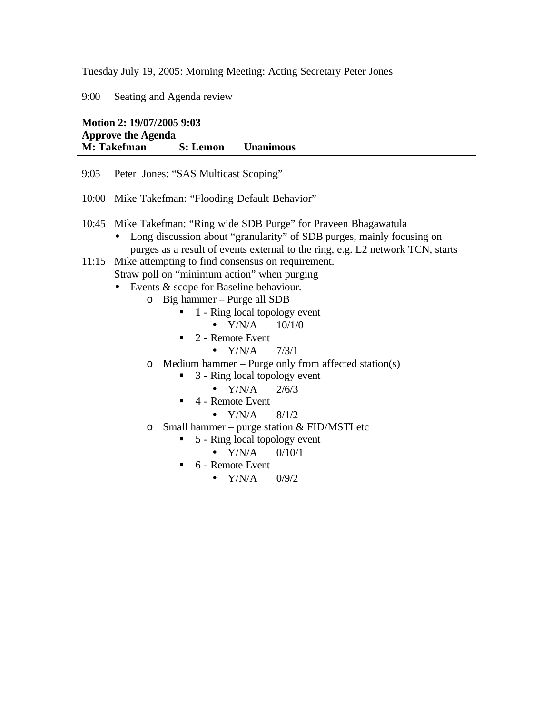Tuesday July 19, 2005: Morning Meeting: Acting Secretary Peter Jones

9:00 Seating and Agenda review

**Motion 2: 19/07/2005 9:03 Approve the Agenda M: Takefman S: Lemon Unanimous**

- 9:05 Peter Jones: "SAS Multicast Scoping"
- 10:00 Mike Takefman: "Flooding Default Behavior"
- 10:45 Mike Takefman: "Ring wide SDB Purge" for Praveen Bhagawatula
	- Long discussion about "granularity" of SDB purges, mainly focusing on purges as a result of events external to the ring, e.g. L2 network TCN, starts

11:15 Mike attempting to find consensus on requirement.

Straw poll on "minimum action" when purging

- Events & scope for Baseline behaviour.
	- o Big hammer Purge all SDB
		- ß 1 Ring local topology event
			- $Y/N/A$  10/1/0
		- $\blacksquare$  2 Remote Event
			- $Y/N/A$  7/3/1
	- o Medium hammer Purge only from affected station(s)
		- $\blacksquare$  3 Ring local topology event
			- $Y/N/A$  2/6/3
		- $\blacksquare$  4 Remote Event
			- $Y/N/A$  8/1/2
	- $\circ$  Small hammer purge station & FID/MSTI etc
		- $\blacksquare$  5 Ring local topology event
			- $Y/N/A$  0/10/1
		- $\blacksquare$  6 Remote Event
			- $Y/N/A$  0/9/2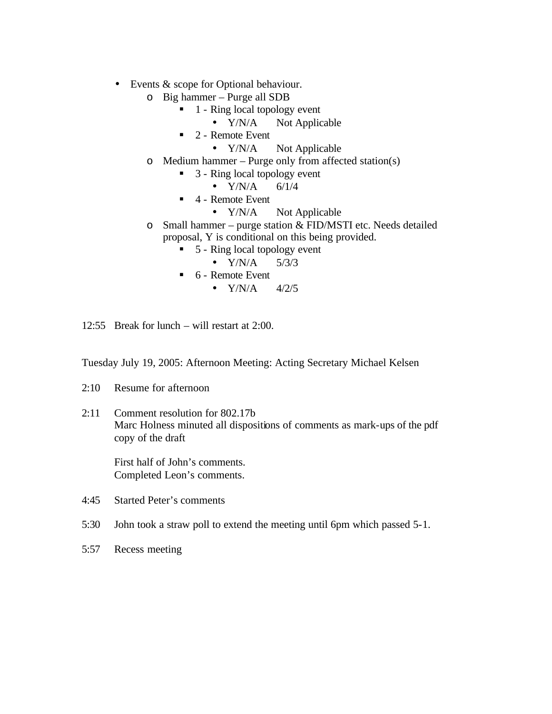- Events & scope for Optional behaviour.
	- o Big hammer Purge all SDB
		- $\blacksquare$  1 Ring local topology event
			- Y/N/A Not Applicable
		- $\blacksquare$  2 Remote Event
			- Y/N/A Not Applicable
	- o Medium hammer Purge only from affected station(s)
		- $\blacksquare$  3 Ring local topology event
			- $Y/N/A$  6/1/4
		- $\blacksquare$  4 Remote Event
			- Y/N/A Not Applicable
	- $\circ$  Small hammer purge station & FID/MSTI etc. Needs detailed proposal, Y is conditional on this being provided.
		- $\blacksquare$  5 Ring local topology event
			- $Y/N/A$  5/3/3
		- $\bullet$  6 Remote Event
			- $Y/N/A$  4/2/5

12:55 Break for lunch – will restart at 2:00.

Tuesday July 19, 2005: Afternoon Meeting: Acting Secretary Michael Kelsen

- 2:10 Resume for afternoon
- 2:11 Comment resolution for 802.17b Marc Holness minuted all dispositions of comments as mark-ups of the pdf copy of the draft

First half of John's comments. Completed Leon's comments.

4:45 Started Peter's comments

- 5:30 John took a straw poll to extend the meeting until 6pm which passed 5-1.
- 5:57 Recess meeting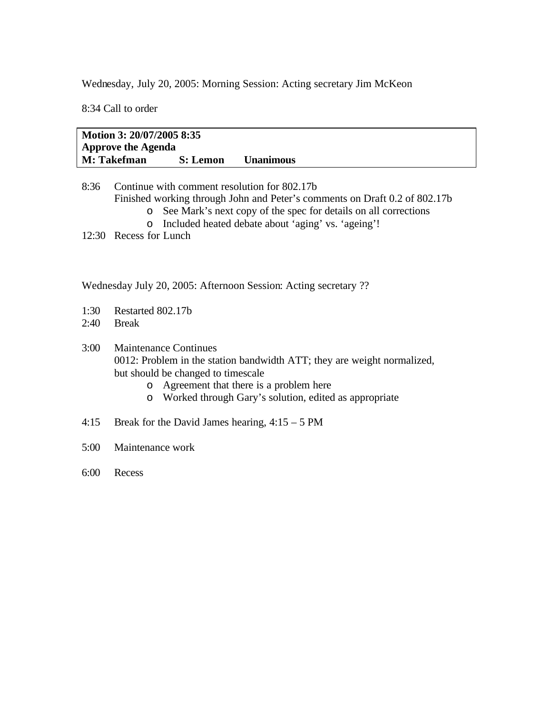Wednesday, July 20, 2005: Morning Session: Acting secretary Jim McKeon

8:34 Call to order

**Motion 3: 20/07/2005 8:35 Approve the Agenda M: Takefman S: Lemon Unanimous**

- 8:36 Continue with comment resolution for 802.17b Finished working through John and Peter's comments on Draft 0.2 of 802.17b o See Mark's next copy of the spec for details on all corrections
	- o Included heated debate about 'aging' vs. 'ageing'!
- 12:30 Recess for Lunch

Wednesday July 20, 2005: Afternoon Session: Acting secretary ??

- 1:30 Restarted 802.17b
- 2:40 Break

3:00 Maintenance Continues 0012: Problem in the station bandwidth ATT; they are weight normalized, but should be changed to timescale

- o Agreement that there is a problem here
- o Worked through Gary's solution, edited as appropriate
- 4:15 Break for the David James hearing, 4:15 5 PM
- 5:00 Maintenance work
- 6:00 Recess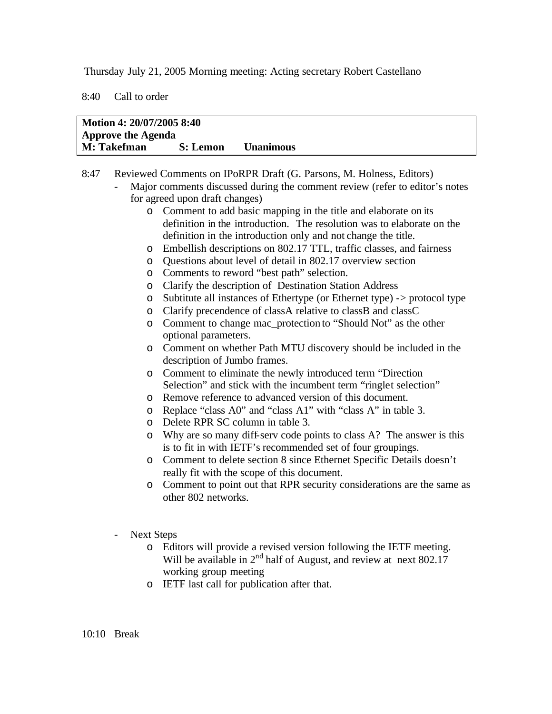Thursday July 21, 2005 Morning meeting: Acting secretary Robert Castellano

8:40 Call to order

| Motion 4: 20/07/2005 8:40 |          |                  |  |
|---------------------------|----------|------------------|--|
| <b>Approve the Agenda</b> |          |                  |  |
| M: Takefman               | S: Lemon | <b>Unanimous</b> |  |

8:47 Reviewed Comments on IPoRPR Draft (G. Parsons, M. Holness, Editors) - Major comments discussed during the comment review (refer to editor's notes for agreed upon draft changes) o Comment to add basic mapping in the title and elaborate on its definition in the introduction. The resolution was to elaborate on the definition in the introduction only and not change the title. o Embellish descriptions on 802.17 TTL, traffic classes, and fairness o Questions about level of detail in 802.17 overview section o Comments to reword "best path" selection. o Clarify the description of Destination Station Address o Subtitute all instances of Ethertype (or Ethernet type) -> protocol type o Clarify precendence of classA relative to classB and classC o Comment to change mac\_protection to "Should Not" as the other optional parameters. o Comment on whether Path MTU discovery should be included in the description of Jumbo frames. o Comment to eliminate the newly introduced term "Direction Selection" and stick with the incumbent term "ringlet selection" o Remove reference to advanced version of this document. o Replace "class A0" and "class A1" with "class A" in table 3. o Delete RPR SC column in table 3. o Why are so many diff-serv code points to class A? The answer is this is to fit in with IETF's recommended set of four groupings. o Comment to delete section 8 since Ethernet Specific Details doesn't really fit with the scope of this document. o Comment to point out that RPR security considerations are the same as other 802 networks. Next Steps o Editors will provide a revised version following the IETF meeting. Will be available in 2<sup>nd</sup> half of August, and review at next 802.17 working group meeting o IETF last call for publication after that.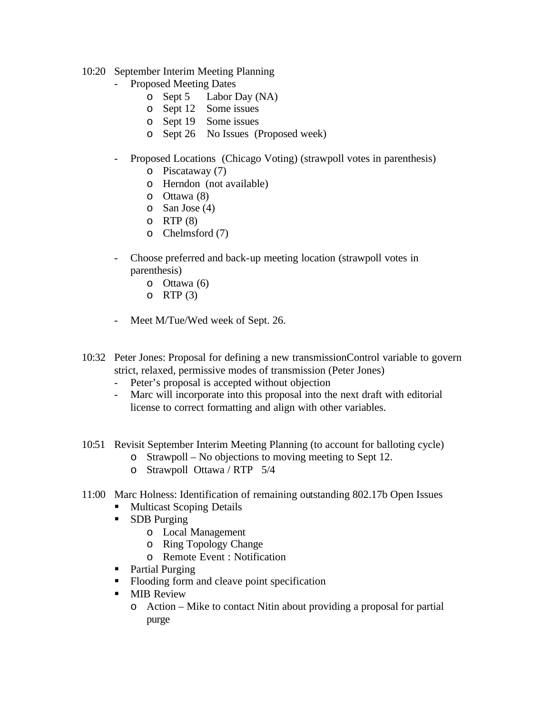- 10:20 September Interim Meeting Planning
	- Proposed Meeting Dates
		- o Sept 5 Labor Day (NA)
		- o Sept 12 Some issues
		- o Sept 19 Some issues
		- o Sept 26 No Issues (Proposed week)
	- Proposed Locations (Chicago Voting) (strawpoll votes in parenthesis)
		- o Piscataway (7)
		- o Herndon (not available)
		- o Ottawa (8)
		- o San Jose (4)
		- $O$  RTP  $(8)$
		- o Chelmsford (7)
	- Choose preferred and back-up meeting location (strawpoll votes in parenthesis)
		- o Ottawa (6)
		- o RTP  $(3)$
	- Meet M/Tue/Wed week of Sept. 26.
- 10:32 Peter Jones: Proposal for defining a new transmissionControl variable to govern strict, relaxed, permissive modes of transmission (Peter Jones)
	- Peter's proposal is accepted without objection<br>- Marc will incorporate into this proposal into the
	- Marc will incorporate into this proposal into the next draft with editorial license to correct formatting and align with other variables.
- 10:51 Revisit September Interim Meeting Planning (to account for balloting cycle) o Strawpoll – No objections to moving meeting to Sept 12.
	- o Strawpoll Ottawa / RTP 5/4
- 11:00 Marc Holness: Identification of remaining outstanding 802.17b Open Issues
	- ß Multicast Scoping Details
	- SDB Purging
		- o Local Management
		- o Ring Topology Change
		- o Remote Event : Notification
	- Partial Purging
	- Flooding form and cleave point specification
	- **MIB** Review
		- o Action Mike to contact Nitin about providing a proposal for partial purge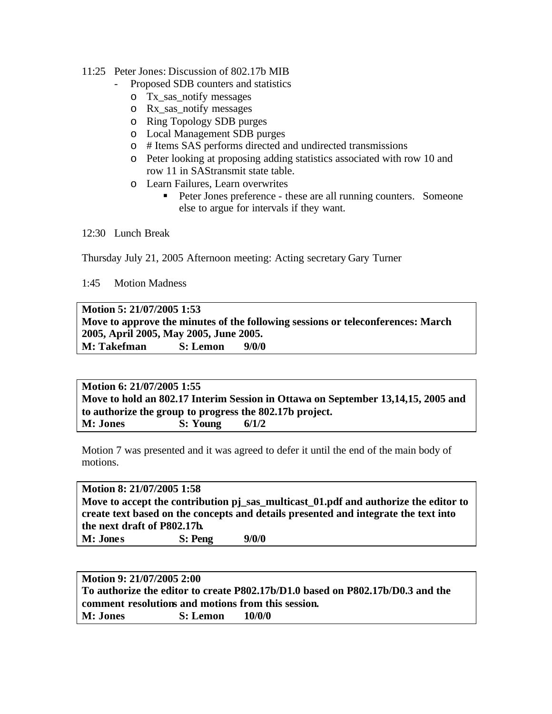## 11:25 Peter Jones: Discussion of 802.17b MIB

- Proposed SDB counters and statistics
	- o Tx\_sas\_notify messages
	- o Rx\_sas\_notify messages
	- o Ring Topology SDB purges
	- o Local Management SDB purges
	- o # Items SAS performs directed and undirected transmissions
	- o Peter looking at proposing adding statistics associated with row 10 and row 11 in SAStransmit state table.
	- o Learn Failures, Learn overwrites
		- **Peter Jones preference these are all running counters.** Someone else to argue for intervals if they want.

## 12:30 Lunch Break

Thursday July 21, 2005 Afternoon meeting: Acting secretary Gary Turner

1:45 Motion Madness

**Motion 5: 21/07/2005 1:53 Move to approve the minutes of the following sessions or teleconferences: March 2005, April 2005, May 2005, June 2005. M: Takefman S: Lemon 9/0/0**

**Motion 6: 21/07/2005 1:55 Move to hold an 802.17 Interim Session in Ottawa on September 13,14,15, 2005 and to authorize the group to progress the 802.17b project. M: Jones S: Young 6/1/2**

Motion 7 was presented and it was agreed to defer it until the end of the main body of motions.

**Motion 8: 21/07/2005 1:58 Move to accept the contribution pj** sas multicast 01.pdf and authorize the editor to **create text based on the concepts and details presented and integrate the text into the next draft of P802.17b. M: Jones S: Peng 9/0/0**

| Motion 9: 21/07/2005 2:00                                                      |                 |        |  |  |
|--------------------------------------------------------------------------------|-----------------|--------|--|--|
| To authorize the editor to create P802.17b/D1.0 based on P802.17b/D0.3 and the |                 |        |  |  |
| comment resolutions and motions from this session.                             |                 |        |  |  |
| <b>M: Jones</b>                                                                | <b>S:</b> Lemon | 10/0/0 |  |  |